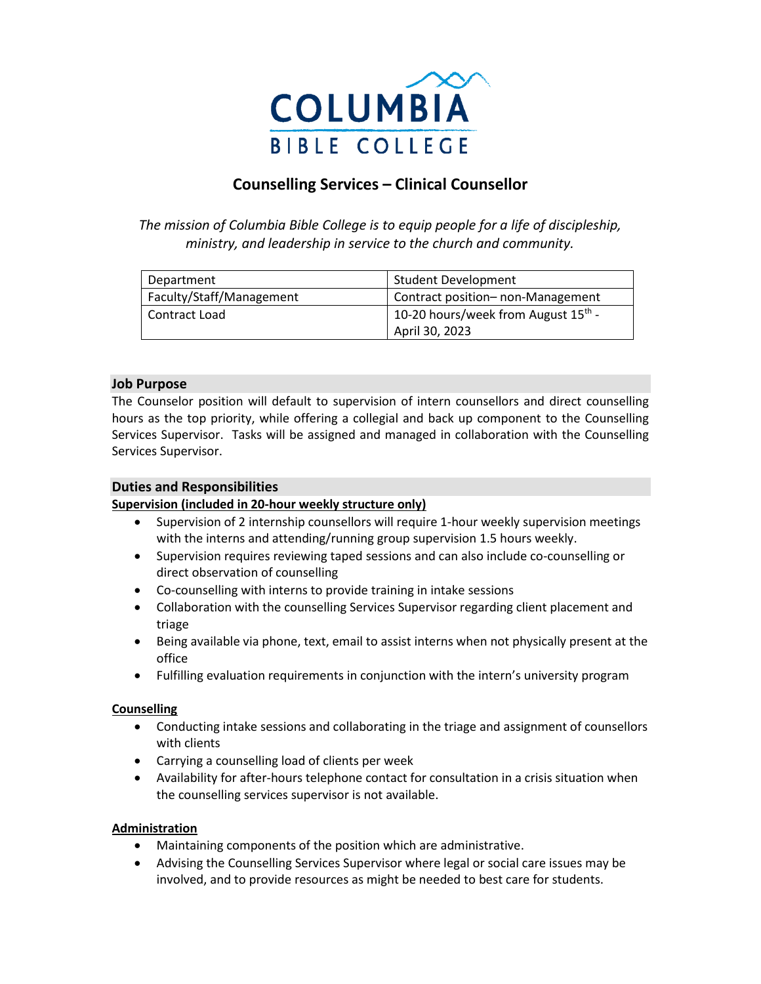

# **Counselling Services – Clinical Counsellor**

*The mission of Columbia Bible College is to equip people for a life of discipleship, ministry, and leadership in service to the church and community.*

| Department               | <b>Student Development</b>                      |
|--------------------------|-------------------------------------------------|
| Faculty/Staff/Management | Contract position- non-Management               |
| Contract Load            | 10-20 hours/week from August 15 <sup>th</sup> - |
|                          | April 30, 2023                                  |

### **Job Purpose**

The Counselor position will default to supervision of intern counsellors and direct counselling hours as the top priority, while offering a collegial and back up component to the Counselling Services Supervisor. Tasks will be assigned and managed in collaboration with the Counselling Services Supervisor.

### **Duties and Responsibilities**

### **Supervision (included in 20-hour weekly structure only)**

- Supervision of 2 internship counsellors will require 1-hour weekly supervision meetings with the interns and attending/running group supervision 1.5 hours weekly.
- Supervision requires reviewing taped sessions and can also include co-counselling or direct observation of counselling
- Co-counselling with interns to provide training in intake sessions
- Collaboration with the counselling Services Supervisor regarding client placement and triage
- Being available via phone, text, email to assist interns when not physically present at the office
- Fulfilling evaluation requirements in conjunction with the intern's university program

### **Counselling**

- Conducting intake sessions and collaborating in the triage and assignment of counsellors with clients
- Carrying a counselling load of clients per week
- Availability for after-hours telephone contact for consultation in a crisis situation when the counselling services supervisor is not available.

### **Administration**

- Maintaining components of the position which are administrative.
- Advising the Counselling Services Supervisor where legal or social care issues may be involved, and to provide resources as might be needed to best care for students.